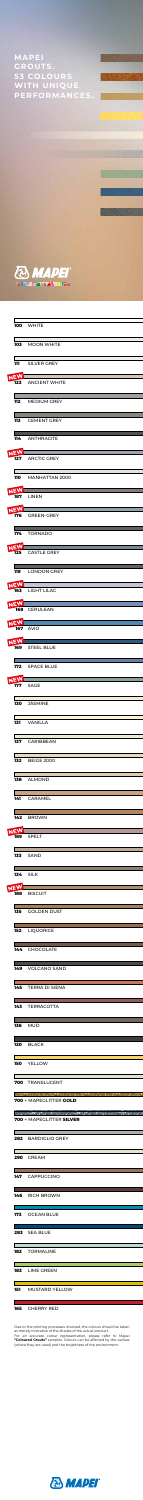|  |            | <b>100 WHITE</b>       |
|--|------------|------------------------|
|  |            | 103 MOON WHITE         |
|  | 111        | <b>SILVER GREY</b>     |
|  | <b>NEW</b> | 123 ANCIENT WHITE      |
|  |            | <b>112</b> MEDIUM GREY |
|  | 113        | <b>CEMENT GREY</b>     |
|  | 114        | ANTHRACITE             |



|            | 127                      | <b>ARCTIC GREY</b>    |
|------------|--------------------------|-----------------------|
|            | 110                      | MANHATTAN 2000        |
|            | NEW<br>187               | <b>LINEN</b>          |
|            | NEW<br>176               | <b>GREEN-GREY</b>     |
|            |                          | 174 TORNADO           |
|            | NEW<br>125               | <b>CASTLE GREY</b>    |
|            | 119<br><b>NEW</b>        | <b>LONDON GREY</b>    |
|            | 163                      | LIGHT LILAC           |
|            | NEW<br>168<br><b>NEW</b> | CERULEAN              |
|            | 167                      | <b>AVIO</b>           |
| <b>NEV</b> | 169                      | <b>STEEL BLUE</b>     |
|            | 172<br><b>NIEW</b>       | <b>SPACE BLUE</b>     |
|            |                          | 177 SAGE              |
|            |                          |                       |
|            |                          | 130 JASMINE           |
|            |                          | 131 VANILLA           |
|            |                          | 137 CARIBBEAN         |
|            |                          | <b>132</b> BEIGE 2000 |
|            |                          | 138 ALMOND            |
|            |                          | 141 CARAMEL           |
|            |                          | 142 BROWN             |
|            | NEW<br>189               | SPELT                 |
|            |                          | <b>133</b> SAND       |
|            | NEV                      | <b>134 SILK</b>       |

|                          | 135 GOLDEN DUST                                                                                                                                                                                                                                                                                                                                                                                                                                                                                        |
|--------------------------|--------------------------------------------------------------------------------------------------------------------------------------------------------------------------------------------------------------------------------------------------------------------------------------------------------------------------------------------------------------------------------------------------------------------------------------------------------------------------------------------------------|
|                          | 152 LIQUORICE                                                                                                                                                                                                                                                                                                                                                                                                                                                                                          |
|                          | 144 CHOCOLATE                                                                                                                                                                                                                                                                                                                                                                                                                                                                                          |
|                          | 149 VOLCANO SAND                                                                                                                                                                                                                                                                                                                                                                                                                                                                                       |
|                          | 145 TERRA DI SIENA                                                                                                                                                                                                                                                                                                                                                                                                                                                                                     |
|                          | 143 TERRACOTTA                                                                                                                                                                                                                                                                                                                                                                                                                                                                                         |
|                          | <b>136 MUD</b>                                                                                                                                                                                                                                                                                                                                                                                                                                                                                         |
|                          | 120 BLACK                                                                                                                                                                                                                                                                                                                                                                                                                                                                                              |
|                          | 150 YELLOW                                                                                                                                                                                                                                                                                                                                                                                                                                                                                             |
| <b>Contract</b>          | 700 TRANSLUCENT                                                                                                                                                                                                                                                                                                                                                                                                                                                                                        |
|                          | <b>这些人的人都是一个人的人的人,我们的人们的人们的人们的人们。</b><br>700 + MAPEGLITTER GOLD                                                                                                                                                                                                                                                                                                                                                                                                                                        |
|                          |                                                                                                                                                                                                                                                                                                                                                                                                                                                                                                        |
|                          | $\mathcal{L}(\mathcal{L}) = \mathcal{L}(\mathcal{L}) = \mathcal{L}(\mathcal{L}) = \mathcal{L}(\mathcal{L}) = \mathcal{L}(\mathcal{L}) = \mathcal{L}(\mathcal{L}) = \mathcal{L}(\mathcal{L}) = \mathcal{L}(\mathcal{L}) = \mathcal{L}(\mathcal{L}) = \mathcal{L}(\mathcal{L}) = \mathcal{L}(\mathcal{L}) = \mathcal{L}(\mathcal{L}) = \mathcal{L}(\mathcal{L}) = \mathcal{L}(\mathcal{L}) = \mathcal{L}(\mathcal{L}) = \mathcal{L}(\mathcal{L}) = \mathcal{L}(\mathcal{L})$<br>700 + MAPEGLITTER SILVER |
|                          | 282 BARDIGLIO GREY                                                                                                                                                                                                                                                                                                                                                                                                                                                                                     |
|                          | 290 CREAM                                                                                                                                                                                                                                                                                                                                                                                                                                                                                              |
|                          | 147 CAPPUCCINO                                                                                                                                                                                                                                                                                                                                                                                                                                                                                         |
|                          | 146 RICH BROWN                                                                                                                                                                                                                                                                                                                                                                                                                                                                                         |
|                          | 173 OCEAN BLUE                                                                                                                                                                                                                                                                                                                                                                                                                                                                                         |
|                          | and the state of the state of the state of the state of the state of the state of the state of the state of th<br>283 SEA BLUE                                                                                                                                                                                                                                                                                                                                                                         |
| <b>Contract Contract</b> | 182 TORMALINE                                                                                                                                                                                                                                                                                                                                                                                                                                                                                          |
|                          | 183 LIME GREEN                                                                                                                                                                                                                                                                                                                                                                                                                                                                                         |

## CHERRY RED

Г

Due to the printing processes involved, the colours should be taken as merely indicative of the shades of the actual product. For an accurate colour representation, please refer to Mapei **"Coloured Grouts"** samples. Colours can be affected by the surface (where they are used) and the brightness of the environment.



**MAPEI GROUTS. 53 COLOURS WITH UNIQUE PERFORMANCES.**